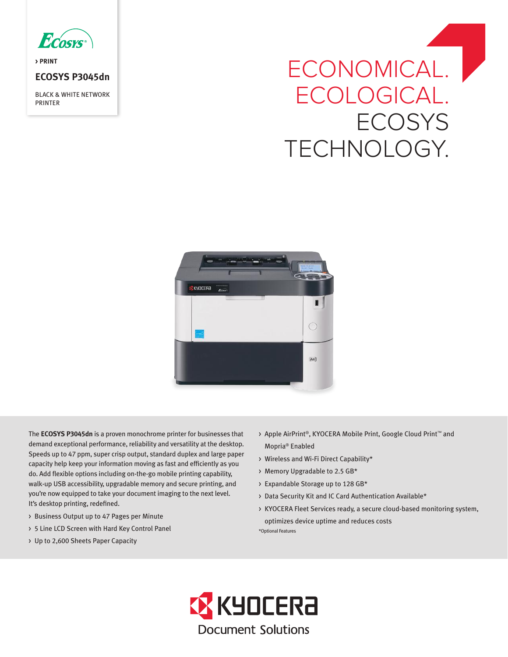

**> PRINT**

## **ECOSYS P3045dn**

BLACK & WHITE NETWORK PRINTER

# ECONOMICAL. | ECOLOGICAL. **ECOSYS** TECHNOLOGY.



The **ECOSYS P3045dn** is a proven monochrome printer for businesses that demand exceptional performance, reliability and versatility at the desktop. Speeds up to 47 ppm, super crisp output, standard duplex and large paper capacity help keep your information moving as fast and efficiently as you do. Add flexible options including on-the-go mobile printing capability, walk-up USB accessibility, upgradable memory and secure printing, and you're now equipped to take your document imaging to the next level. It's desktop printing, redefined.

- > Business Output up to 47 Pages per Minute
- > 5 Line LCD Screen with Hard Key Control Panel
- > Up to 2,600 Sheets Paper Capacity
- > Apple AirPrint®, KYOCERA Mobile Print, Google Cloud Print™ and Mopria® Enabled
- > Wireless and Wi-Fi Direct Capability\*
- > Memory Upgradable to 2.5 GB\*
- > Expandable Storage up to 128 GB\*
- > Data Security Kit and IC Card Authentication Available\*
- > KYOCERA Fleet Services ready, a secure cloud-based monitoring system, optimizes device uptime and reduces costs

\*Optional Features